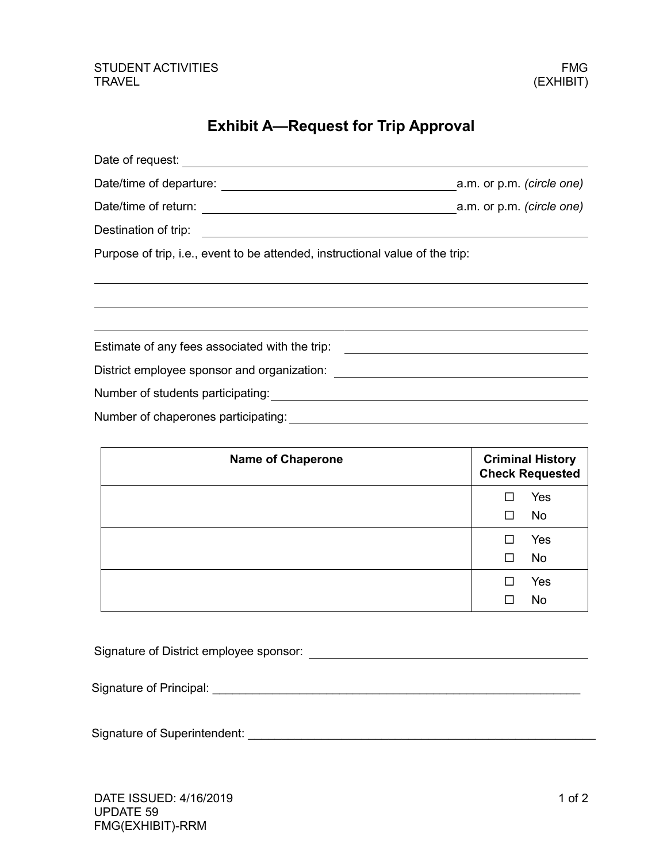### STUDENT ACTIVITIES FMG TRAVEL (EXHIBIT)

## **Exhibit A—Request for Trip Approval**

| Purpose of trip, i.e., event to be attended, instructional value of the trip:    |  |
|----------------------------------------------------------------------------------|--|
|                                                                                  |  |
|                                                                                  |  |
|                                                                                  |  |
| Estimate of any fees associated with the trip: _________________________________ |  |
|                                                                                  |  |
|                                                                                  |  |
|                                                                                  |  |
|                                                                                  |  |

| <b>Name of Chaperone</b> |   | <b>Criminal History</b><br><b>Check Requested</b> |
|--------------------------|---|---------------------------------------------------|
|                          |   | Yes                                               |
|                          | □ | <b>No</b>                                         |
|                          | П | Yes                                               |
|                          | □ | <b>No</b>                                         |
|                          |   | Yes                                               |
|                          |   | <b>No</b>                                         |

Signature of District employee sponsor:

| Signature of Principal: |  |
|-------------------------|--|
|                         |  |

Signature of Superintendent: \_\_\_\_\_\_\_\_\_\_\_\_\_\_\_\_\_\_\_\_\_\_\_\_\_\_\_\_\_\_\_\_\_\_\_\_\_\_\_\_\_\_\_\_\_\_\_\_\_\_\_\_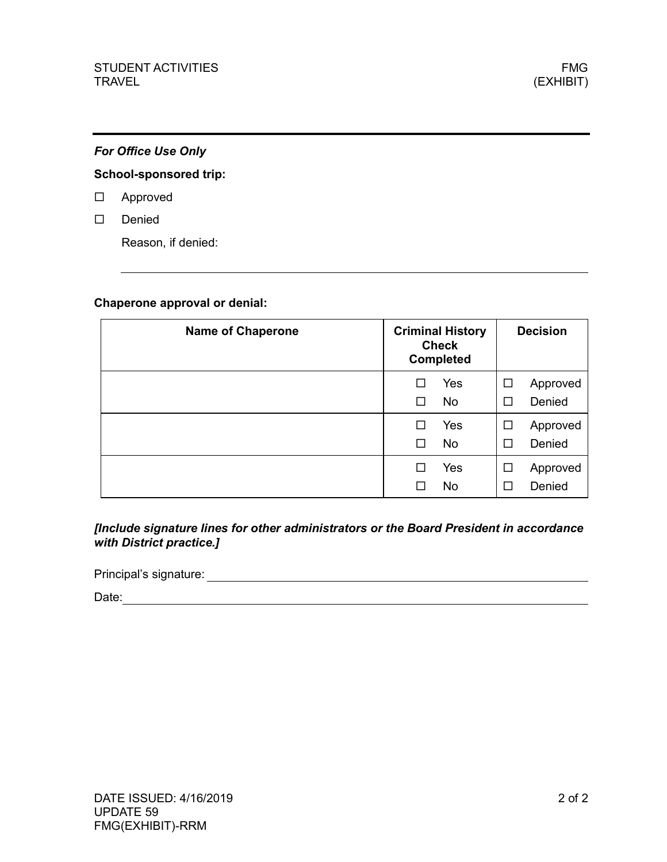### *For Office Use Only*

### **School-sponsored trip:**

- Approved
- Denied

Reason, if denied:

#### **Chaperone approval or denial:**

| <b>Name of Chaperone</b> | <b>Criminal History</b><br><b>Check</b><br><b>Completed</b> |        | <b>Decision</b> |
|--------------------------|-------------------------------------------------------------|--------|-----------------|
|                          | Yes                                                         | ⊔      | Approved        |
|                          | <b>No</b>                                                   | □      | Denied          |
|                          | Yes                                                         | ப      | Approved        |
|                          | <b>No</b>                                                   | □      | Denied          |
|                          | Yes                                                         | ⊔      | Approved        |
|                          | No                                                          | $\sim$ | Denied          |

<u> 1989 - Johann Stoff, amerikansk politiker (d. 1989)</u>

*[Include signature lines for other administrators or the Board President in accordance with District practice.]*

Principal's signature:

Date: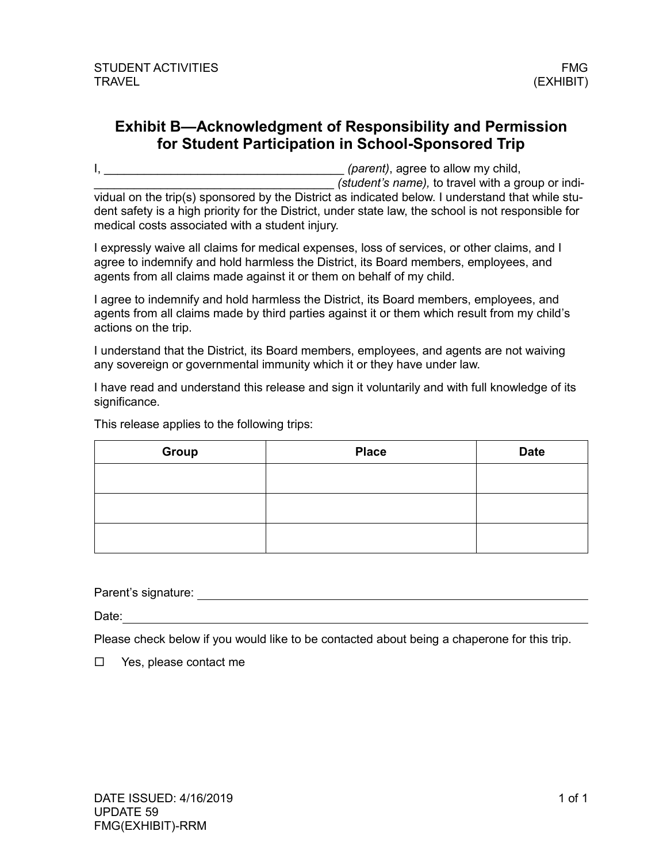## **Exhibit B—Acknowledgment of Responsibility and Permission for Student Participation in School-Sponsored Trip**

I, **I**, **Example 2** (*parent*), agree to allow my child, \_\_\_\_\_\_\_\_\_\_\_\_\_\_\_\_\_\_\_\_\_\_\_\_\_\_\_\_\_\_\_\_\_\_\_\_ *(student's name),* to travel with a group or individual on the trip(s) sponsored by the District as indicated below. I understand that while student safety is a high priority for the District, under state law, the school is not responsible for medical costs associated with a student injury.

I expressly waive all claims for medical expenses, loss of services, or other claims, and I agree to indemnify and hold harmless the District, its Board members, employees, and agents from all claims made against it or them on behalf of my child.

I agree to indemnify and hold harmless the District, its Board members, employees, and agents from all claims made by third parties against it or them which result from my child's actions on the trip.

I understand that the District, its Board members, employees, and agents are not waiving any sovereign or governmental immunity which it or they have under law.

I have read and understand this release and sign it voluntarily and with full knowledge of its significance.

This release applies to the following trips:

| Group | <b>Place</b> | <b>Date</b> |
|-------|--------------|-------------|
|       |              |             |
|       |              |             |
|       |              |             |
|       |              |             |

Parent's signature: **Parent's signature:** 

Date: **Date:** 

Please check below if you would like to be contacted about being a chaperone for this trip.

 $\Box$  Yes, please contact me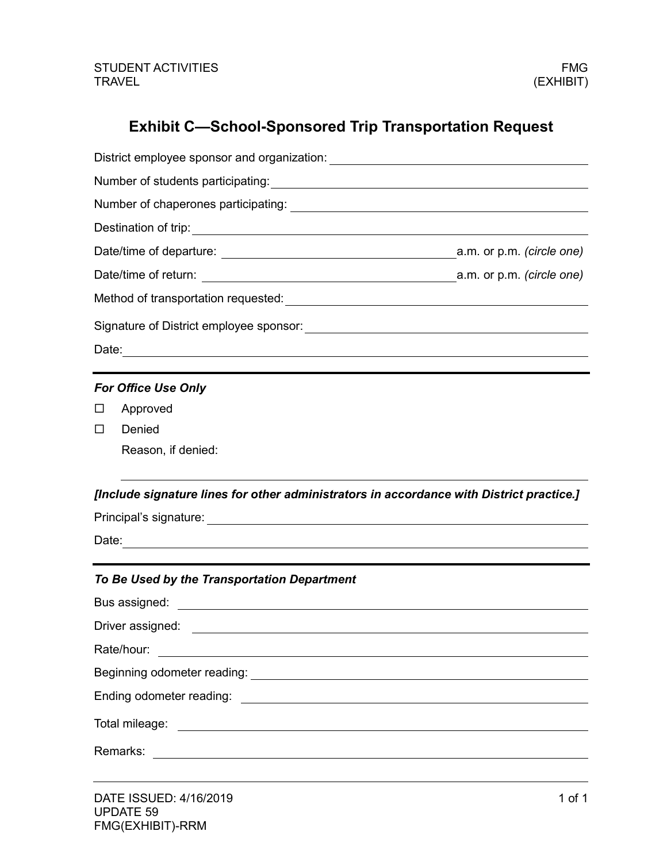# **Exhibit C—School-Sponsored Trip Transportation Request**

| <b>For Office Use Only</b>                                                                                                                                                                              |  |  |  |  |
|---------------------------------------------------------------------------------------------------------------------------------------------------------------------------------------------------------|--|--|--|--|
| Approved<br>⊔                                                                                                                                                                                           |  |  |  |  |
| Denied<br>Ш                                                                                                                                                                                             |  |  |  |  |
| Reason, if denied:                                                                                                                                                                                      |  |  |  |  |
| [Include signature lines for other administrators in accordance with District practice.]                                                                                                                |  |  |  |  |
|                                                                                                                                                                                                         |  |  |  |  |
|                                                                                                                                                                                                         |  |  |  |  |
|                                                                                                                                                                                                         |  |  |  |  |
|                                                                                                                                                                                                         |  |  |  |  |
| To Be Used by the Transportation Department                                                                                                                                                             |  |  |  |  |
| Bus assigned:<br><u> 1980 - Jan Barat, prima amerikan politik (</u>                                                                                                                                     |  |  |  |  |
| Driver assigned:                                                                                                                                                                                        |  |  |  |  |
| Rate/hour:                                                                                                                                                                                              |  |  |  |  |
| <u> 1989 - Andrea Stadt Britain, fransk politik (d. 1989)</u>                                                                                                                                           |  |  |  |  |
|                                                                                                                                                                                                         |  |  |  |  |
| Total mileage:                                                                                                                                                                                          |  |  |  |  |
| <u> Alexandria de la contrada de la contrada de la contrada de la contrada de la contrada de la contrada de la c</u><br>Remarks:<br><u> 1989 - Johann Stein, mars an deus Amerikaansk kommunister (</u> |  |  |  |  |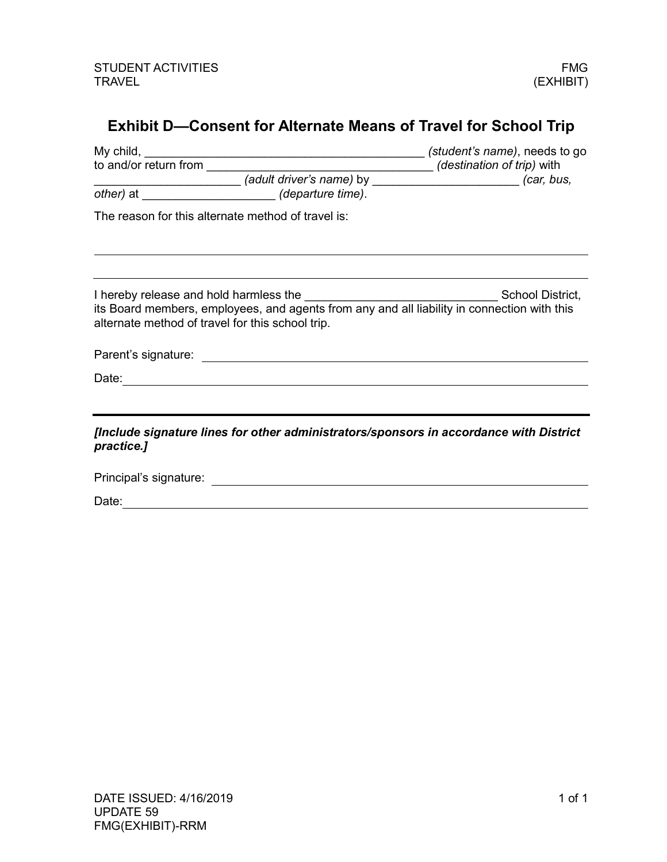# **Exhibit D—Consent for Alternate Means of Travel for School Trip**

|                                                                                                                                                 | (student's name), needs to go |  |  |
|-------------------------------------------------------------------------------------------------------------------------------------------------|-------------------------------|--|--|
| to and/or return from                                                                                                                           |                               |  |  |
|                                                                                                                                                 |                               |  |  |
|                                                                                                                                                 |                               |  |  |
| The reason for this alternate method of travel is:                                                                                              |                               |  |  |
|                                                                                                                                                 |                               |  |  |
| its Board members, employees, and agents from any and all liability in connection with this<br>alternate method of travel for this school trip. | School District,              |  |  |
|                                                                                                                                                 |                               |  |  |
| Date:<br><u> 1989 - Johann Stein, mars an de Frankrik (f. 1989)</u>                                                                             |                               |  |  |
|                                                                                                                                                 |                               |  |  |
| [Include signature lines for other administrators/sponsors in accordance with District<br>practice.]                                            |                               |  |  |
| Principal's signature:                                                                                                                          |                               |  |  |

Date: experience and the second contract of the second contract of the second contract of the second contract of the second contract of the second contract of the second contract of the second contract of the second contra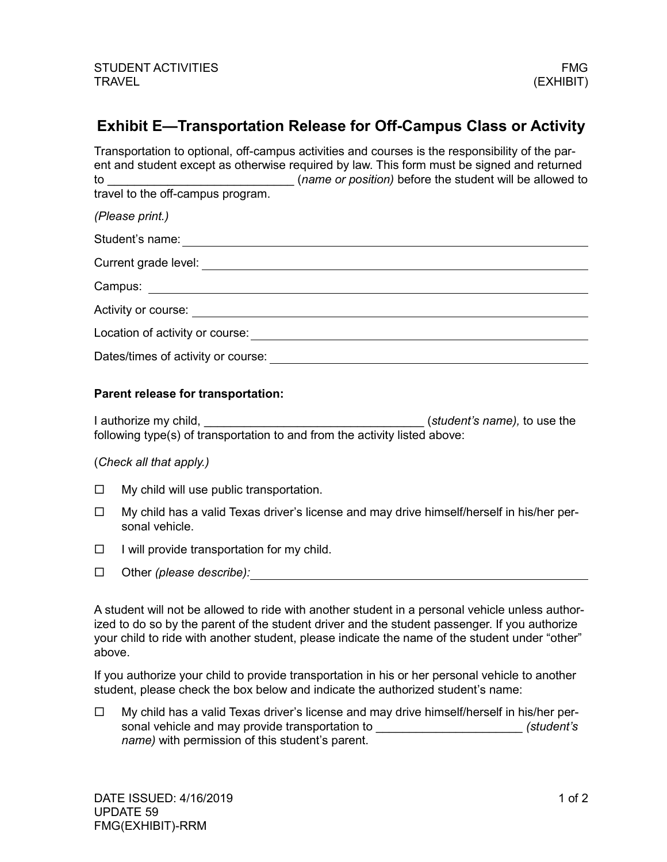## **Exhibit E—Transportation Release for Off-Campus Class or Activity**

Transportation to optional, off-campus activities and courses is the responsibility of the parent and student except as otherwise required by law. This form must be signed and returned to \_\_\_\_\_\_\_\_\_\_\_\_\_\_\_\_\_\_\_\_\_\_\_\_\_\_\_\_ (*name or position)* before the student will be allowed to travel to the off-campus program. *(Please print.)* Student's name: **Example 2018** Student's name: **Example 2018** Student's name: **Example 2018** Current grade level: Campus: Activity or course: **Activity** or course: Location of activity or course: Dates/times of activity or course:

#### **Parent release for transportation:**

I authorize my child, \_\_\_\_\_\_\_\_\_\_\_\_\_\_\_\_\_\_\_\_\_\_\_\_\_\_\_\_\_\_\_\_\_ (*student's name),* to use the following type(s) of transportation to and from the activity listed above:

### (*Check all that apply.)*

- $\Box$  My child will use public transportation.
- $\Box$  My child has a valid Texas driver's license and may drive himself/herself in his/her personal vehicle.
- $\Box$  I will provide transportation for my child.
- Other *(please describe):*

A student will not be allowed to ride with another student in a personal vehicle unless authorized to do so by the parent of the student driver and the student passenger. If you authorize your child to ride with another student, please indicate the name of the student under "other" above.

If you authorize your child to provide transportation in his or her personal vehicle to another student, please check the box below and indicate the authorized student's name:

 $\Box$  My child has a valid Texas driver's license and may drive himself/herself in his/her personal vehicle and may provide transportation to \_\_\_\_\_\_\_\_\_\_\_\_\_\_\_\_\_\_\_\_\_\_\_\_\_\_\_\_(student's *name)* with permission of this student's parent.